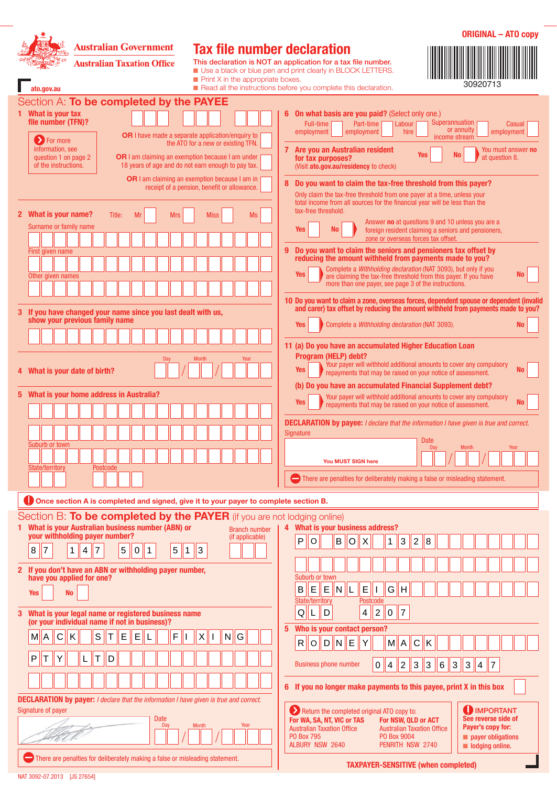| <b>Australian Government</b><br><b>Australian Taxation Office</b><br>ato.gov.au                                                                                                                                                                                                                                                                                                                                                                                                                                                                                                                                                                                           | <b>Tax file number declaration</b><br>$\blacksquare$ Print X in the appropriate boxes.                                                                                                                                                                     | <b>ORIGINAL - ATO copy</b><br>This declaration is NOT an application for a tax file number.<br>Use a black or blue pen and print clearly in BLOCK LETTERS.<br>30920713<br>Read all the instructions before you complete this declaration.                                                                                                                                                                                                                                                                                                                                                                                        |  |  |
|---------------------------------------------------------------------------------------------------------------------------------------------------------------------------------------------------------------------------------------------------------------------------------------------------------------------------------------------------------------------------------------------------------------------------------------------------------------------------------------------------------------------------------------------------------------------------------------------------------------------------------------------------------------------------|------------------------------------------------------------------------------------------------------------------------------------------------------------------------------------------------------------------------------------------------------------|----------------------------------------------------------------------------------------------------------------------------------------------------------------------------------------------------------------------------------------------------------------------------------------------------------------------------------------------------------------------------------------------------------------------------------------------------------------------------------------------------------------------------------------------------------------------------------------------------------------------------------|--|--|
| Section A: To be completed by the PAYEE<br>1 What is your tax<br>file number (TFN)?<br>> For more<br>information, see<br><b>OR</b> I am claiming an exemption because I am under<br>question 1 on page 2<br>of the instructions.                                                                                                                                                                                                                                                                                                                                                                                                                                          | <b>OR</b> I have made a separate application/enguiry to<br>the ATO for a new or existing TFN.<br>18 years of age and do not earn enough to pay tax.<br><b>OR</b> I am claiming an exemption because I am in<br>receipt of a pension, benefit or allowance. | 6 On what basis are you paid? (Select only one.)<br>Superannuation<br>Full-time<br>Part-time<br>Labour<br>Casual<br>or annuity<br>employment<br>employment<br>hire<br>employment<br>income stream<br>7 Are you an Australian resident<br>You must answer <b>no</b><br><b>Yes</b><br><b>No</b><br>at question 8.<br>for tax purposes?<br>(Visit ato.gov.au/residency to check)<br>Do you want to claim the tax-free threshold from this payer?<br>8<br>Only claim the tax-free threshold from one payer at a time, unless your<br>total income from all sources for the financial year will be less than the                      |  |  |
| 2 What is your name?<br>Title:<br>Mr<br><b>Mrs</b><br>Surname or family name<br>First given name<br>Other given names                                                                                                                                                                                                                                                                                                                                                                                                                                                                                                                                                     | <b>Miss</b><br>Ms                                                                                                                                                                                                                                          | tax-free threshold.<br>Answer <b>no</b> at questions 9 and 10 unless you are a<br>Yes<br>No<br>foreign resident claiming a seniors and pensioners,<br>zone or overseas forces tax offset.<br>Do you want to claim the seniors and pensioners tax offset by<br>9<br>reducing the amount withheld from payments made to you?<br>Complete a Withholding declaration (NAT 3093), but only if you<br>Yes<br>No<br>are claiming the tax-free threshold from this payer. If you have<br>more than one payer, see page 3 of the instructions.<br>10 Do you want to claim a zone, overseas forces, dependent spouse or dependent (invalid |  |  |
| 3 If you have changed your name since you last dealt with us,<br>show your previous family name<br>Day<br>4 What is your date of birth?                                                                                                                                                                                                                                                                                                                                                                                                                                                                                                                                   | <b>Month</b><br>Year                                                                                                                                                                                                                                       | and carer) tax offset by reducing the amount withheld from payments made to you?<br>Complete a Withholding declaration (NAT 3093).<br>Yes<br>No<br>11 (a) Do you have an accumulated Higher Education Loan<br>Program (HELP) debt?<br>Your payer will withhold additional amounts to cover any compulsory<br>Yes<br>No<br>repayments that may be raised on your notice of assessment.                                                                                                                                                                                                                                            |  |  |
| 5 What is your home address in Australia?<br>Suburb or town<br>State/territory<br>Postcode                                                                                                                                                                                                                                                                                                                                                                                                                                                                                                                                                                                |                                                                                                                                                                                                                                                            | (b) Do you have an accumulated Financial Supplement debt?<br>Your payer will withhold additional amounts to cover any compulsory<br><b>Yes</b><br>No<br>repayments that may be raised on your notice of assessment.<br><b>DECLARATION by payee:</b> I declare that the information I have given is true and correct.<br>Signature<br>Date<br><b>Month</b><br>Day<br>Year<br>You MUST SIGN here<br>There are penalties for deliberately making a false or misleading statement.                                                                                                                                                   |  |  |
| Once section A is completed and signed, give it to your payer to complete section B.                                                                                                                                                                                                                                                                                                                                                                                                                                                                                                                                                                                      |                                                                                                                                                                                                                                                            |                                                                                                                                                                                                                                                                                                                                                                                                                                                                                                                                                                                                                                  |  |  |
| Section B: To be completed by the PAYER (if you are not lodging online)<br>What is your Australian business number (ABN) or<br>your withholding payer number?<br>$\overline{7}$<br>5<br>8<br>5<br> 7<br>1<br>4<br>$\vert$ 1<br>0<br>  1<br>If you don't have an ABN or withholding payer number,                                                                                                                                                                                                                                                                                                                                                                          | <b>Branch number</b><br>(if applicable)<br>$ 3\rangle$                                                                                                                                                                                                     | 4 What is your business address?<br>B<br>P<br>$\mathsf{X}$<br>$ 2\rangle$<br>$\circ$<br><b>O</b><br>$\mathbf{1}$<br> 3 <br> 8                                                                                                                                                                                                                                                                                                                                                                                                                                                                                                    |  |  |
| have you applied for one?<br><b>No</b><br><b>Yes</b>                                                                                                                                                                                                                                                                                                                                                                                                                                                                                                                                                                                                                      |                                                                                                                                                                                                                                                            | Suburb or town<br>$\mathsf E$<br>E<br>$\mathsf E$<br>G<br>B<br>Iн<br>N  L                                                                                                                                                                                                                                                                                                                                                                                                                                                                                                                                                        |  |  |
| What is your legal name or registered business name<br>3<br>(or your individual name if not in business)?<br>$\mathsf S$<br>Κ<br>E<br>E<br>F<br>Τ<br>A<br>C<br>M<br>Τ<br>P<br>Y<br>Т<br>D<br>L                                                                                                                                                                                                                                                                                                                                                                                                                                                                            | X<br>G<br>N                                                                                                                                                                                                                                                | State/territory<br>Postcode<br>D<br> 2 <br>$ 7\rangle$<br>Q<br>0<br>L<br>$\overline{4}$<br>Who is your contact person?<br>5<br>$N \parallel E$<br>$\overline{C}$<br> D <br>Υ<br>M[A]<br>İΚ<br>R<br>$\circ$<br> 2 <br>$ 3\rangle$<br> 3 <br>$\mathfrak{S}$<br><b>Business phone number</b><br>$6 \overline{6}$<br>$ 3\rangle$<br>$\pmb{0}$<br>$\vert 4 \vert$<br>$\overline{7}$<br>$\overline{4}$<br>6 If you no longer make payments to this payee, print X in this box                                                                                                                                                          |  |  |
| <b>DECLARATION by payer:</b> I declare that the information I have given is true and correct.<br><b>U</b> IMPORTANT<br>Signature of payer<br>Return the completed original ATO copy to:<br>See reverse side of<br>Date<br>For WA, SA, NT, VIC or TAS<br>For NSW, QLD or ACT<br>Day<br><b>Month</b><br>Year<br>Payer's copy for:<br><b>Australian Taxation Office</b><br><b>Australian Taxation Office</b><br><b>PO Box 795</b><br>PO Box 9004<br>payer obligations<br>ALBURY NSW 2640<br>PENRITH NSW 2740<br>$\blacksquare$ lodging online.<br>There are penalties for deliberately making a false or misleading statement.<br><b>TAXPAYER-SENSITIVE (when completed)</b> |                                                                                                                                                                                                                                                            |                                                                                                                                                                                                                                                                                                                                                                                                                                                                                                                                                                                                                                  |  |  |

NAT 3092‑07.2013 [JS 27654]